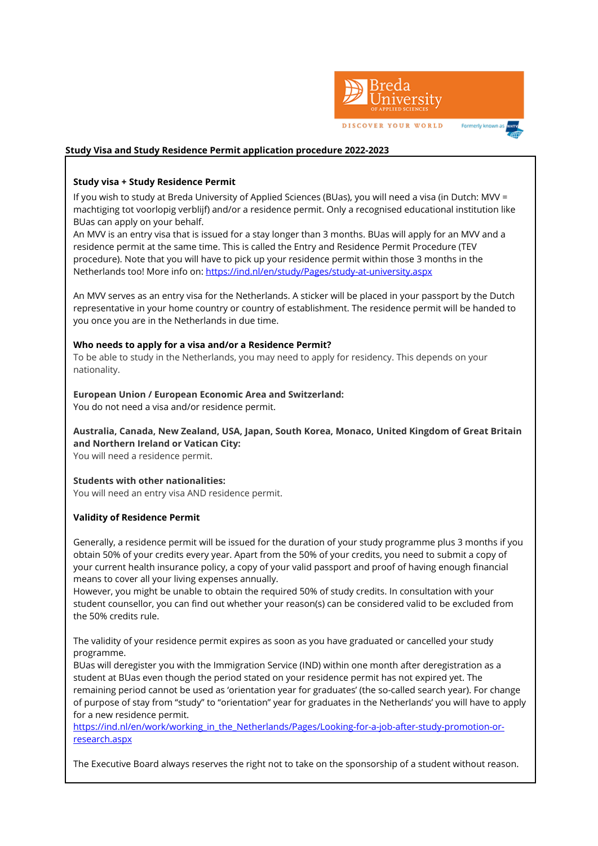

#### **Study Visa and Study Residence Permit application procedure 2022-2023**

#### **Study visa + Study Residence Permit**

If you wish to study at Breda University of Applied Sciences (BUas), you will need a visa (in Dutch: MVV = machtiging tot voorlopig verblijf) and/or a residence permit. Only a recognised educational institution like BUas can apply on your behalf.

An MVV is an entry visa that is issued for a stay longer than 3 months. BUas will apply for an MVV and a residence permit at the same time. This is called the Entry and Residence Permit Procedure (TEV procedure). Note that you will have to pick up your residence permit within those 3 months in the Netherlands too! More info on:<https://ind.nl/en/study/Pages/study-at-university.aspx>

An MVV serves as an entry visa for the Netherlands. A sticker will be placed in your passport by the Dutch representative in your home country or country of establishment. The residence permit will be handed to you once you are in the Netherlands in due time.

#### **Who needs to apply for a visa and/or a Residence Permit?**

To be able to study in the Netherlands, you may need to apply for residency. This depends on your nationality.

# **European Union / European Economic Area and Switzerland:**

You do not need a visa and/or residence permit.

**Australia, Canada, New Zealand, USA, Japan, South Korea, Monaco, United Kingdom of Great Britain and Northern Ireland or Vatican City:** You will need a residence permit.

#### **Students with other nationalities:**

You will need an entry visa AND residence permit.

#### **Validity of Residence Permit**

Generally, a residence permit will be issued for the duration of your study programme plus 3 months if you obtain 50% of your credits every year. Apart from the 50% of your credits, you need to submit a copy of your current health insurance policy, a copy of your valid passport and proof of having enough financial means to cover all your living expenses annually.

However, you might be unable to obtain the required 50% of study credits. In consultation with your student counsellor, you can find out whether your reason(s) can be considered valid to be excluded from the 50% credits rule.

The validity of your residence permit expires as soon as you have graduated or cancelled your study programme.

BUas will deregister you with the Immigration Service (IND) within one month after deregistration as a student at BUas even though the period stated on your residence permit has not expired yet. The remaining period cannot be used as 'orientation year for graduates' (the so-called search year). For change of purpose of stay from "study" to "orientation" year for graduates in the Netherlands' you will have to apply for a new residence permit.

[https://ind.nl/en/work/working\\_in\\_the\\_Netherlands/Pages/Looking-for-a-job-after-study-promotion-or](https://ind.nl/en/work/working_in_the_Netherlands/Pages/Looking-for-a-job-after-study-promotion-or-research.aspx)[research.aspx](https://ind.nl/en/work/working_in_the_Netherlands/Pages/Looking-for-a-job-after-study-promotion-or-research.aspx) 

The Executive Board always reserves the right not to take on the sponsorship of a student without reason.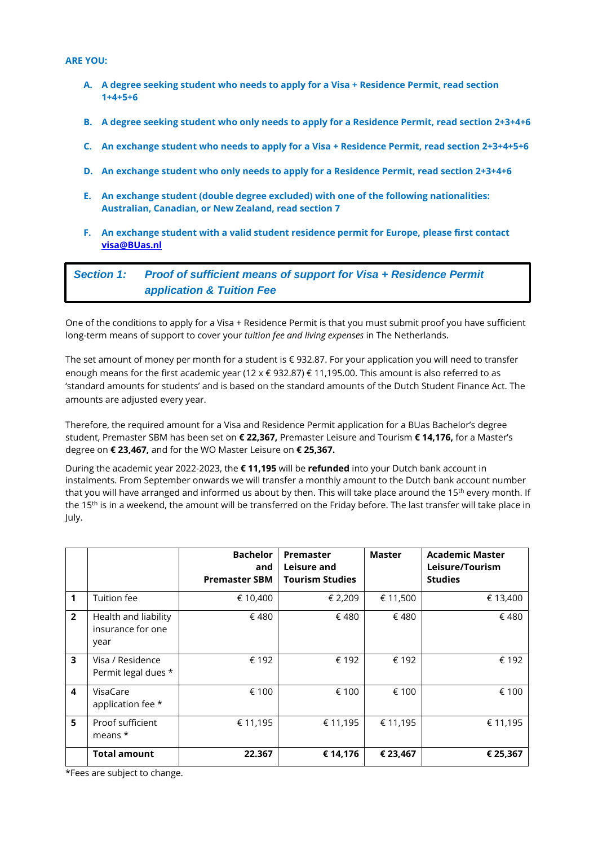#### **ARE YOU:**

- **A. A degree seeking student who needs to apply for a Visa + Residence Permit, read section 1+4+5+6**
- **B. A degree seeking student who only needs to apply for a Residence Permit, read section 2+3+4+6**
- **C. An exchange student who needs to apply for a Visa + Residence Permit, read section 2+3+4+5+6**
- **D. An exchange student who only needs to apply for a Residence Permit, read section 2+3+4+6**
- **E. An exchange student (double degree excluded) with one of the following nationalities: Australian, Canadian, or New Zealand, read section 7**
- **F. An exchange student with a valid student residence permit for Europe, please first contact [visa@BUas.nl](mailto:visa@nhtv.nl)**

*Section 1: Proof of sufficient means of support for Visa + Residence Permit application & Tuition Fee*

One of the conditions to apply for a Visa + Residence Permit is that you must submit proof you have sufficient long-term means of support to cover your *tuition fee and living expenses* in The Netherlands.

The set amount of money per month for a student is € 932.87. For your application you will need to transfer enough means for the first academic year (12 x € 932.87) € 11,195.00. This amount is also referred to as 'standard amounts for students' and is based on the standard amounts of the Dutch Student Finance Act. The amounts are adjusted every year.

Therefore, the required amount for a Visa and Residence Permit application for a BUas Bachelor's degree student, Premaster SBM has been set on **€ 22,367,** Premaster Leisure and Tourism **€ 14,176,** for a Master's degree on **€ 23,467,** and for the WO Master Leisure on **€ 25,367.**

During the academic year 2022-2023, the **€ 11,195** will be **refunded** into your Dutch bank account in instalments. From September onwards we will transfer a monthly amount to the Dutch bank account number that you will have arranged and informed us about by then. This will take place around the 15<sup>th</sup> every month. If the 15<sup>th</sup> is in a weekend, the amount will be transferred on the Friday before. The last transfer will take place in July.

|                         |                                                   | <b>Bachelor</b><br>and<br><b>Premaster SBM</b> | Premaster<br>Leisure and<br><b>Tourism Studies</b> | <b>Master</b> | <b>Academic Master</b><br>Leisure/Tourism<br><b>Studies</b> |
|-------------------------|---------------------------------------------------|------------------------------------------------|----------------------------------------------------|---------------|-------------------------------------------------------------|
| 1                       | Tuition fee                                       | € 10,400                                       | € 2,209                                            | € 11,500      | € 13,400                                                    |
| $\overline{2}$          | Health and liability<br>insurance for one<br>year | €480                                           | €480                                               | €480          | €480                                                        |
| $\overline{\mathbf{3}}$ | Visa / Residence<br>Permit legal dues *           | € 192                                          | € 192                                              | € 192         | € 192                                                       |
| $\overline{\mathbf{4}}$ | VisaCare<br>application fee *                     | € 100                                          | € 100                                              | € 100         | € 100                                                       |
| 5                       | Proof sufficient<br>means $*$                     | € 11,195                                       | € 11,195                                           | € 11,195      | € 11,195                                                    |
|                         | <b>Total amount</b>                               | 22.367                                         | € 14,176                                           | € 23,467      | € 25,367                                                    |

\*Fees are subject to change.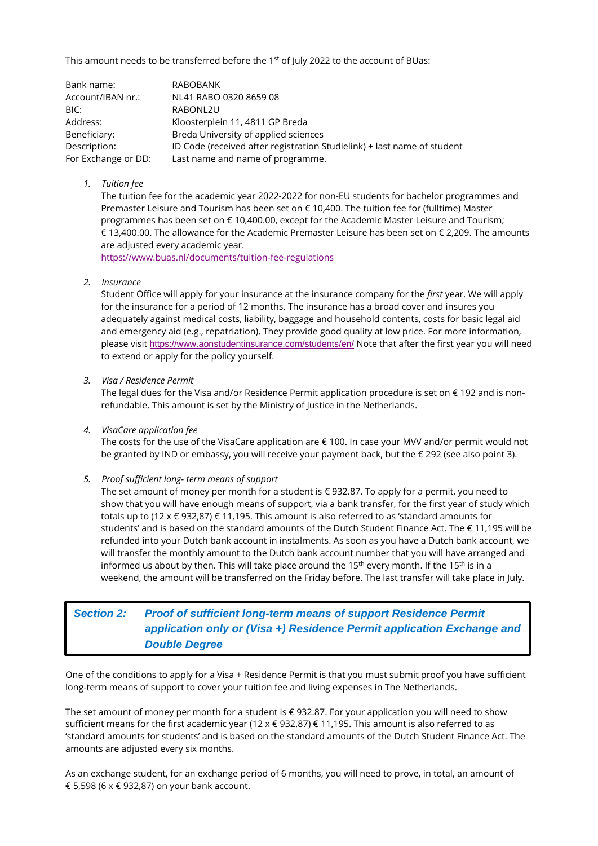This amount needs to be transferred before the 1<sup>st</sup> of July 2022 to the account of BUas:

| Bank name:          | <b>RABOBANK</b>                                                         |
|---------------------|-------------------------------------------------------------------------|
| Account/IBAN nr.:   | NL41 RABO 0320 8659 08                                                  |
| BIC:                | RABONL2U                                                                |
| Address:            | Kloosterplein 11, 4811 GP Breda                                         |
| Beneficiary:        | Breda University of applied sciences                                    |
| Description:        | ID Code (received after registration Studielink) + last name of student |
| For Exchange or DD: | Last name and name of programme.                                        |

#### *1. Tuition fee*

The tuition fee for the academic year 2022-2022 for non-EU students for bachelor programmes and Premaster Leisure and Tourism has been set on € 10,400. The tuition fee for (fulltime) Master programmes has been set on € 10,400.00, except for the Academic Master Leisure and Tourism; € 13,400.00. The allowance for the Academic Premaster Leisure has been set on € 2,209. The amounts are adjusted every academic year.

<https://www.buas.nl/documents/tuition-fee-regulations>

*2. Insurance*

Student Office will apply for your insurance at the insurance company for the *first* year. We will apply for the insurance for a period of 12 months. The insurance has a broad cover and insures you adequately against medical costs, liability, baggage and household contents, costs for basic legal aid and emergency aid (e.g., repatriation). They provide good quality at low price. For more information, please visit <https://www.aonstudentinsurance.com/students/en/> Note that after the first year you will need to extend or apply for the policy yourself.

*3. Visa / Residence Permit*

The legal dues for the Visa and/or Residence Permit application procedure is set on € 192 and is nonrefundable. This amount is set by the Ministry of Justice in the Netherlands.

*4. VisaCare application fee*

The costs for the use of the VisaCare application are € 100. In case your MVV and/or permit would not be granted by IND or embassy, you will receive your payment back, but the € 292 (see also point 3).

*5. Proof sufficient long- term means of support*

The set amount of money per month for a student is € 932.87. To apply for a permit, you need to show that you will have enough means of support, via a bank transfer, for the first year of study which totals up to (12 x € 932,87) € 11,195. This amount is also referred to as 'standard amounts for students' and is based on the standard amounts of the Dutch Student Finance Act. The € 11,195 will be refunded into your Dutch bank account in instalments. As soon as you have a Dutch bank account, we will transfer the monthly amount to the Dutch bank account number that you will have arranged and informed us about by then. This will take place around the 15<sup>th</sup> every month. If the 15<sup>th</sup> is in a weekend, the amount will be transferred on the Friday before. The last transfer will take place in July.

# *Section 2: Proof of sufficient long-term means of support Residence Permit application only or (Visa +) Residence Permit application Exchange and Double Degree*

One of the conditions to apply for a Visa + Residence Permit is that you must submit proof you have sufficient long-term means of support to cover your tuition fee and living expenses in The Netherlands.

The set amount of money per month for a student is € 932.87. For your application you will need to show sufficient means for the first academic year (12 x € 932.87) € 11,195. This amount is also referred to as 'standard amounts for students' and is based on the standard amounts of the Dutch Student Finance Act. The amounts are adjusted every six months.

As an exchange student, for an exchange period of 6 months, you will need to prove, in total, an amount of € 5,598 (6 x € 932,87) on your bank account.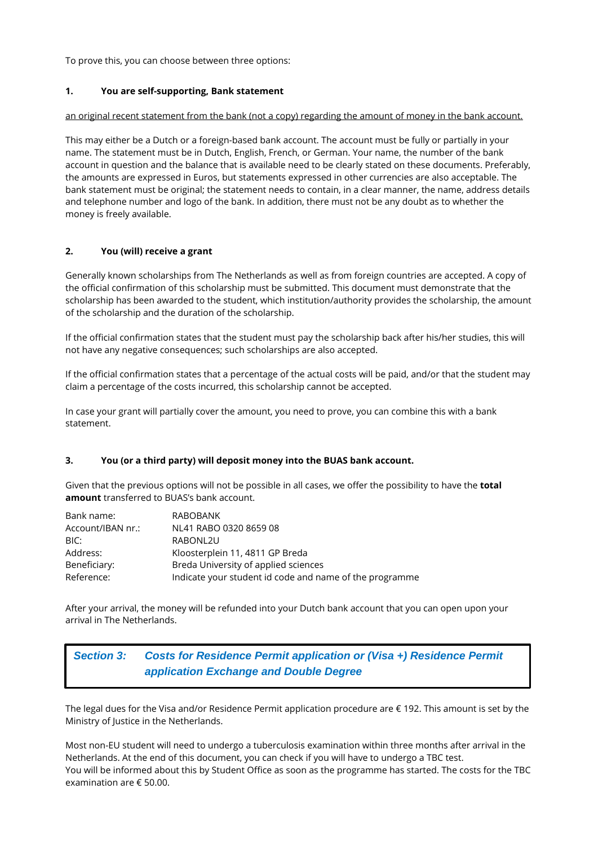To prove this, you can choose between three options:

### **1. You are self-supporting, Bank statement**

#### an original recent statement from the bank (not a copy) regarding the amount of money in the bank account.

This may either be a Dutch or a foreign-based bank account. The account must be fully or partially in your name. The statement must be in Dutch, English, French, or German. Your name, the number of the bank account in question and the balance that is available need to be clearly stated on these documents. Preferably, the amounts are expressed in Euros, but statements expressed in other currencies are also acceptable. The bank statement must be original; the statement needs to contain, in a clear manner, the name, address details and telephone number and logo of the bank. In addition, there must not be any doubt as to whether the money is freely available.

#### **2. You (will) receive a grant**

Generally known scholarships from The Netherlands as well as from foreign countries are accepted. A copy of the official confirmation of this scholarship must be submitted. This document must demonstrate that the scholarship has been awarded to the student, which institution/authority provides the scholarship, the amount of the scholarship and the duration of the scholarship.

If the official confirmation states that the student must pay the scholarship back after his/her studies, this will not have any negative consequences; such scholarships are also accepted.

If the official confirmation states that a percentage of the actual costs will be paid, and/or that the student may claim a percentage of the costs incurred, this scholarship cannot be accepted.

In case your grant will partially cover the amount, you need to prove, you can combine this with a bank statement.

#### **3. You (or a third party) will deposit money into the BUAS bank account.**

Given that the previous options will not be possible in all cases, we offer the possibility to have the **total amount** transferred to BUAS's bank account.

| Bank name:        | RABOBANK                                                |
|-------------------|---------------------------------------------------------|
| Account/IBAN nr.: | NL41 RABO 0320 8659 08                                  |
| BIC:              | RABONL2U                                                |
| Address:          | Kloosterplein 11, 4811 GP Breda                         |
| Beneficiary:      | Breda University of applied sciences                    |
| Reference:        | Indicate your student id code and name of the programme |

After your arrival, the money will be refunded into your Dutch bank account that you can open upon your arrival in The Netherlands.

# *Section 3: Costs for Residence Permit application or (Visa +) Residence Permit application Exchange and Double Degree*

The legal dues for the Visa and/or Residence Permit application procedure are € 192. This amount is set by the Ministry of Justice in the Netherlands.

Most non-EU student will need to undergo a tuberculosis examination within three months after arrival in the Netherlands. At the end of this document, you can check if you will have to undergo a TBC test. You will be informed about this by Student Office as soon as the programme has started. The costs for the TBC examination are € 50.00.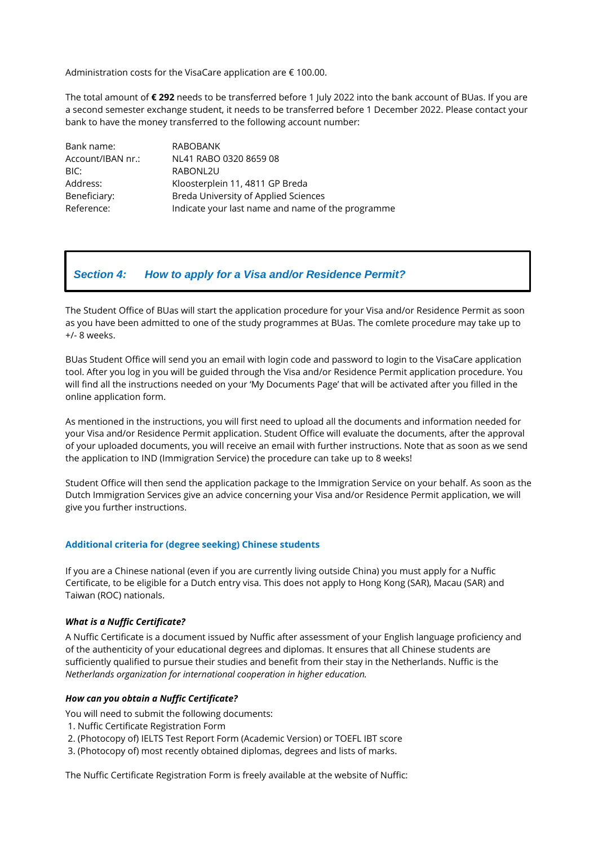Administration costs for the VisaCare application are € 100.00.

The total amount of **€ 292** needs to be transferred before 1 July 2022 into the bank account of BUas. If you are a second semester exchange student, it needs to be transferred before 1 December 2022. Please contact your bank to have the money transferred to the following account number:

| Bank name:        | RABOBANK                                          |
|-------------------|---------------------------------------------------|
| Account/IBAN nr.: | NL41 RABO 0320 8659 08                            |
| BIC:              | RABONL2U                                          |
| Address:          | Kloosterplein 11, 4811 GP Breda                   |
| Beneficiary:      | Breda University of Applied Sciences              |
| Reference:        | Indicate your last name and name of the programme |

## *Section 4: How to apply for a Visa and/or Residence Permit?*

The Student Office of BUas will start the application procedure for your Visa and/or Residence Permit as soon as you have been admitted to one of the study programmes at BUas. The comlete procedure may take up to +/- 8 weeks.

BUas Student Office will send you an email with login code and password to login to the VisaCare application tool. After you log in you will be guided through the Visa and/or Residence Permit application procedure. You will find all the instructions needed on your 'My Documents Page' that will be activated after you filled in the online application form.

As mentioned in the instructions, you will first need to upload all the documents and information needed for your Visa and/or Residence Permit application. Student Office will evaluate the documents, after the approval of your uploaded documents, you will receive an email with further instructions. Note that as soon as we send the application to IND (Immigration Service) the procedure can take up to 8 weeks!

Student Office will then send the application package to the Immigration Service on your behalf. As soon as the Dutch Immigration Services give an advice concerning your Visa and/or Residence Permit application, we will give you further instructions.

#### **Additional criteria for (degree seeking) Chinese students**

If you are a Chinese national (even if you are currently living outside China) you must apply for a Nuffic Certificate, to be eligible for a Dutch entry visa. This does not apply to Hong Kong (SAR), Macau (SAR) and Taiwan (ROC) nationals.

#### *What is a Nuffic Certificate?*

A Nuffic Certificate is a document issued by Nuffic after assessment of your English language proficiency and of the authenticity of your educational degrees and diplomas. It ensures that all Chinese students are sufficiently qualified to pursue their studies and benefit from their stay in the Netherlands. Nuffic is the *Netherlands organization for international cooperation in higher education.*

#### *How can you obtain a Nuffic Certificate?*

You will need to submit the following documents:

- 1. Nuffic Certificate Registration Form
- 2. (Photocopy of) IELTS Test Report Form (Academic Version) or TOEFL IBT score
- 3. (Photocopy of) most recently obtained diplomas, degrees and lists of marks.

The Nuffic Certificate Registration Form is freely available at the website of Nuffic: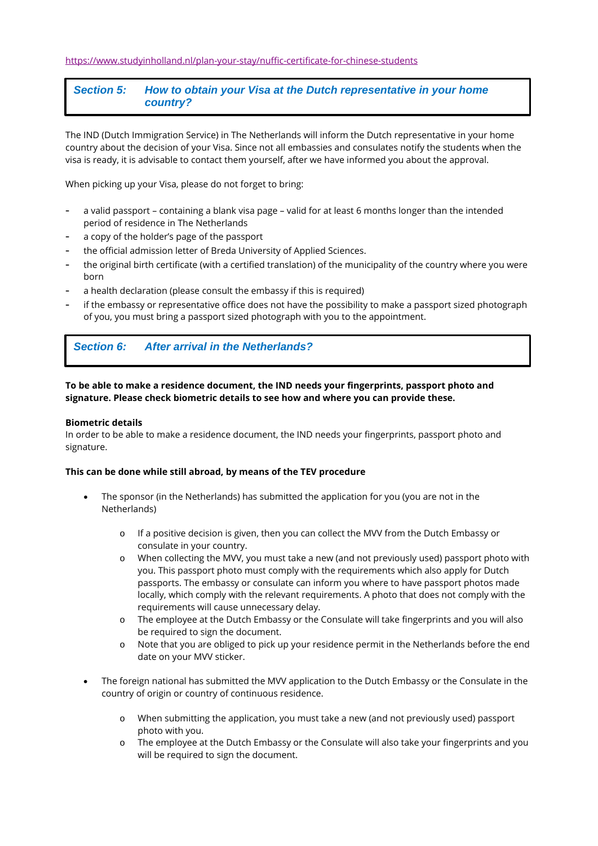## *Section 5: How to obtain your Visa at the Dutch representative in your home country?*

The IND (Dutch Immigration Service) in The Netherlands will inform the Dutch representative in your home country about the decision of your Visa. Since not all embassies and consulates notify the students when the visa is ready, it is advisable to contact them yourself, after we have informed you about the approval.

When picking up your Visa, please do not forget to bring:

- a valid passport containing a blank visa page valid for at least 6 months longer than the intended period of residence in The Netherlands
- a copy of the holder's page of the passport
- the official admission letter of Breda University of Applied Sciences.
- the original birth certificate (with a certified translation) of the municipality of the country where you were born
- a health declaration (please consult the embassy if this is required)
- if the embassy or representative office does not have the possibility to make a passport sized photograph of you, you must bring a passport sized photograph with you to the appointment.

# *Section 6: After arrival in the Netherlands?*

### **To be able to make a residence document, the IND needs your fingerprints, passport photo and signature. Please check biometric details to see how and where you can provide these.**

#### **Biometric details**

In order to be able to make a residence document, the IND needs your fingerprints, passport photo and signature.

#### **This can be done while still abroad, by means of the TEV procedure**

- The sponsor (in the Netherlands) has submitted the application for you (you are not in the Netherlands)
	- o If a positive decision is given, then you can collect the MVV from the Dutch Embassy or consulate in your country.
	- o When collecting the MVV, you must take a new (and not previously used) passport photo with you. This passport photo must comply with the requirements which also apply for Dutch passports. The embassy or consulate can inform you where to have passport photos made locally, which comply with the relevant requirements. A photo that does not comply with the requirements will cause unnecessary delay.
	- o The employee at the Dutch Embassy or the Consulate will take fingerprints and you will also be required to sign the document.
	- o Note that you are obliged to pick up your residence permit in the Netherlands before the end date on your MVV sticker.
- The foreign national has submitted the MVV application to the Dutch Embassy or the Consulate in the country of origin or country of continuous residence.
	- o When submitting the application, you must take a new (and not previously used) passport photo with you.
	- o The employee at the Dutch Embassy or the Consulate will also take your fingerprints and you will be required to sign the document.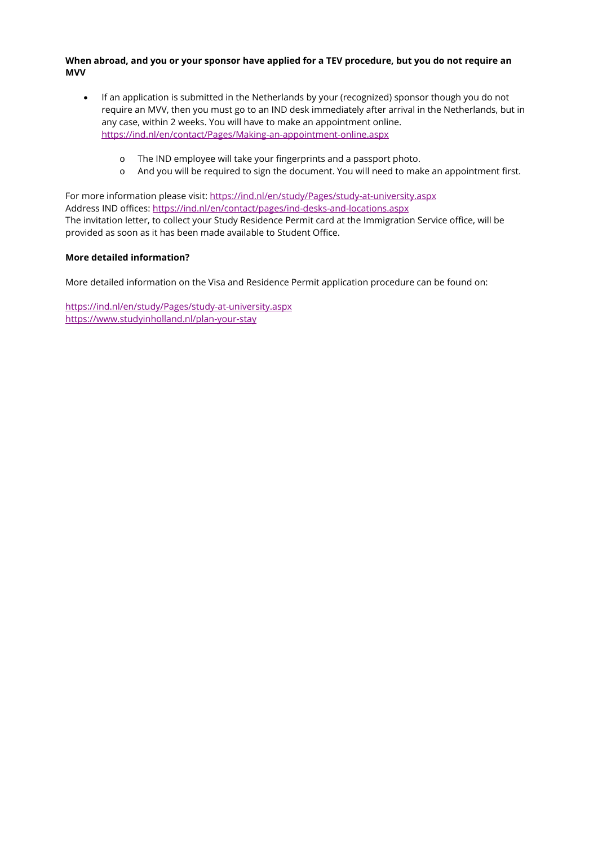**When abroad, and you or your sponsor have applied for a TEV procedure, but you do not require an MVV**

- If an application is submitted in the Netherlands by your (recognized) sponsor though you do not require an MVV, then you must go to an IND desk immediately after arrival in the Netherlands, but in any case, within 2 weeks. You will have to make an appointment online. <https://ind.nl/en/contact/Pages/Making-an-appointment-online.aspx>
	- o The IND employee will take your fingerprints and a passport photo.
	- o And you will be required to sign the document. You will need to make an appointment first.

For more information please visit:<https://ind.nl/en/study/Pages/study-at-university.aspx> Address IND offices:<https://ind.nl/en/contact/pages/ind-desks-and-locations.aspx> The invitation letter, to collect your Study Residence Permit card at the Immigration Service office, will be provided as soon as it has been made available to Student Office.

### **More detailed information?**

More detailed information on the Visa and Residence Permit application procedure can be found on:

<https://ind.nl/en/study/Pages/study-at-university.aspx> <https://www.studyinholland.nl/plan-your-stay>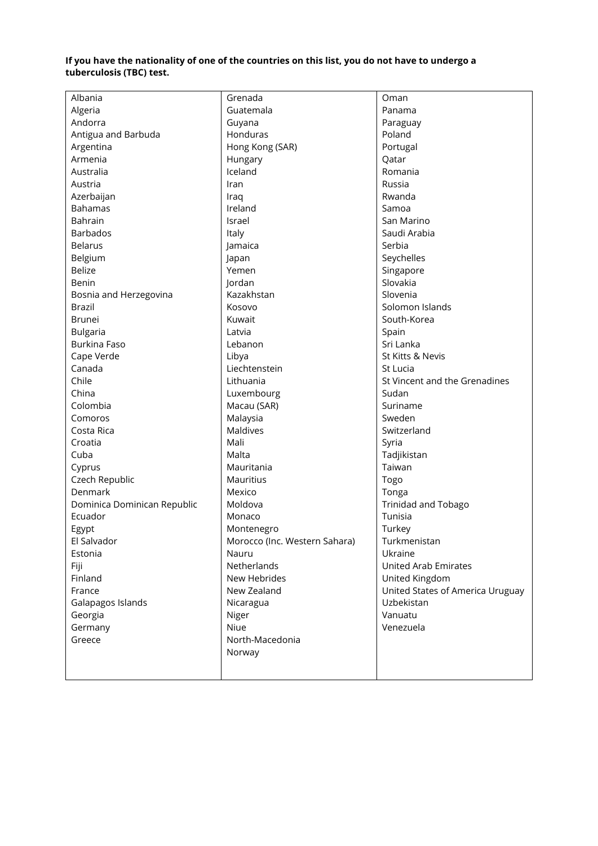### **If you have the nationality of one of the countries on this list, you do not have to undergo a tuberculosis (TBC) test.**

| Albania                     | Grenada                       | Oman                             |
|-----------------------------|-------------------------------|----------------------------------|
| Algeria                     | Guatemala                     | Panama                           |
| Andorra                     | Guyana                        | Paraguay                         |
| Antigua and Barbuda         | Honduras                      | Poland                           |
| Argentina                   | Hong Kong (SAR)               | Portugal                         |
| Armenia                     | Hungary                       | Qatar                            |
| Australia                   | Iceland                       | Romania                          |
| Austria                     | Iran                          | Russia                           |
| Azerbaijan                  | Iraq                          | Rwanda                           |
| <b>Bahamas</b>              | Ireland                       | Samoa                            |
| Bahrain                     | Israel                        | San Marino                       |
| <b>Barbados</b>             | Italy                         | Saudi Arabia                     |
| <b>Belarus</b>              | Jamaica                       | Serbia                           |
| Belgium                     | Japan                         | Seychelles                       |
| <b>Belize</b>               | Yemen                         | Singapore                        |
| Benin                       | Jordan                        | Slovakia                         |
| Bosnia and Herzegovina      | Kazakhstan                    | Slovenia                         |
| <b>Brazil</b>               | Kosovo                        | Solomon Islands                  |
| <b>Brunei</b>               | Kuwait                        | South-Korea                      |
| <b>Bulgaria</b>             | Latvia                        | Spain                            |
| Burkina Faso                | Lebanon                       | Sri Lanka                        |
| Cape Verde                  | Libya                         | St Kitts & Nevis                 |
| Canada                      | Liechtenstein                 | St Lucia                         |
| Chile                       | Lithuania                     | St Vincent and the Grenadines    |
| China                       | Luxembourg                    | Sudan                            |
| Colombia                    | Macau (SAR)                   | Suriname                         |
| Comoros                     | Malaysia                      | Sweden                           |
| Costa Rica                  | <b>Maldives</b>               | Switzerland                      |
| Croatia                     | Mali                          | Syria                            |
| Cuba                        | Malta                         | Tadjikistan                      |
| Cyprus                      | Mauritania                    | Taiwan                           |
| Czech Republic              | Mauritius                     | Togo                             |
| Denmark                     | Mexico                        | Tonga                            |
| Dominica Dominican Republic | Moldova                       | <b>Trinidad and Tobago</b>       |
| Ecuador                     | Monaco                        | Tunisia                          |
| Egypt                       | Montenegro                    | Turkey                           |
| El Salvador                 | Morocco (Inc. Western Sahara) | Turkmenistan                     |
| Estonia                     | Nauru                         | Ukraine                          |
| Fiji                        | Netherlands                   | <b>United Arab Emirates</b>      |
| Finland                     | New Hebrides                  | United Kingdom                   |
| France                      | New Zealand                   | United States of America Uruguay |
| Galapagos Islands           | Nicaragua                     | Uzbekistan                       |
| Georgia                     | Niger                         | Vanuatu                          |
| Germany                     | Niue                          | Venezuela                        |
| Greece                      | North-Macedonia               |                                  |
|                             | Norway                        |                                  |
|                             |                               |                                  |
|                             |                               |                                  |